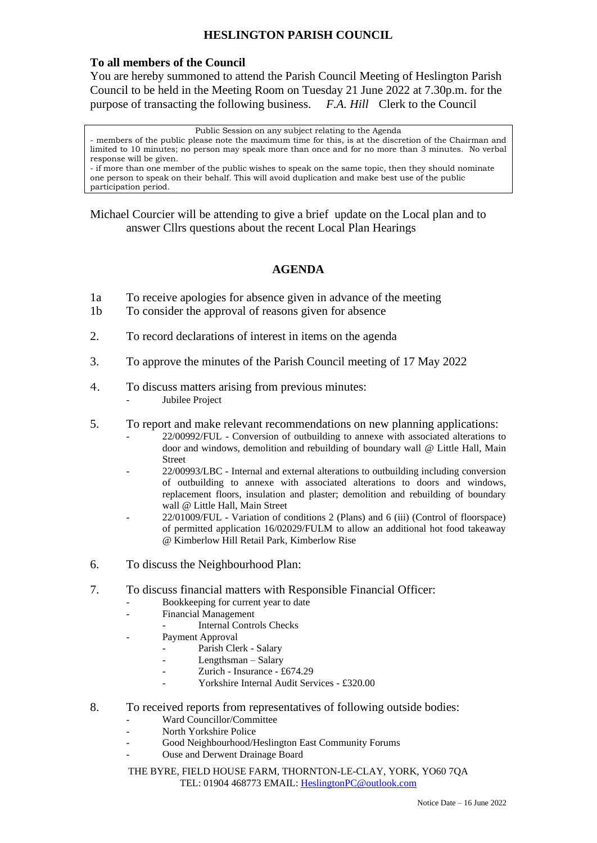## **HESLINGTON PARISH COUNCIL**

## **To all members of the Council**

You are hereby summoned to attend the Parish Council Meeting of Heslington Parish Council to be held in the Meeting Room on Tuesday 21 June 2022 at 7.30p.m. for the purpose of transacting the following business. *F.A. Hill* Clerk to the Council

## Public Session on any subject relating to the Agenda

- members of the public please note the maximum time for this, is at the discretion of the Chairman and limited to 10 minutes; no person may speak more than once and for no more than 3 minutes. No verbal response will be given.

- if more than one member of the public wishes to speak on the same topic, then they should nominate one person to speak on their behalf. This will avoid duplication and make best use of the public participation period.

Michael Courcier will be attending to give a brief update on the Local plan and to answer Cllrs questions about the recent Local Plan Hearings

## **AGENDA**

- 1a To receive apologies for absence given in advance of the meeting
- 1b To consider the approval of reasons given for absence
- 2. To record declarations of interest in items on the agenda
- 3. To approve the minutes of the Parish Council meeting of 17 May 2022
- 4. To discuss matters arising from previous minutes: Jubilee Project
- 5. To report and make relevant recommendations on new planning applications:
	- 22/00992/FUL Conversion of outbuilding to annexe with associated alterations to door and windows, demolition and rebuilding of boundary wall @ Little Hall, Main Street
	- 22/00993/LBC Internal and external alterations to outbuilding including conversion of outbuilding to annexe with associated alterations to doors and windows, replacement floors, insulation and plaster; demolition and rebuilding of boundary wall @ Little Hall, Main Street
	- 22/01009/FUL Variation of conditions 2 (Plans) and 6 (iii) (Control of floorspace) of permitted application 16/02029/FULM to allow an additional hot food takeaway @ Kimberlow Hill Retail Park, Kimberlow Rise
- 6. To discuss the Neighbourhood Plan:
- 7. To discuss financial matters with Responsible Financial Officer:
	- Bookkeeping for current year to date
	- Financial Management
		- **Internal Controls Checks**
	- Payment Approval
		- Parish Clerk Salary
		- Lengthsman Salary
		- Zurich Insurance £674.29
		- Yorkshire Internal Audit Services £320.00
- 8. To received reports from representatives of following outside bodies:
	- Ward Councillor/Committee
	- North Yorkshire Police
	- Good Neighbourhood/Heslington East Community Forums
	- Ouse and Derwent Drainage Board
	- THE BYRE, FIELD HOUSE FARM, THORNTON-LE-CLAY, YORK, YO60 7QA TEL: 01904 468773 EMAIL: [HeslingtonPC@outlook.com](mailto:HeslingtonPC@outlook.com)